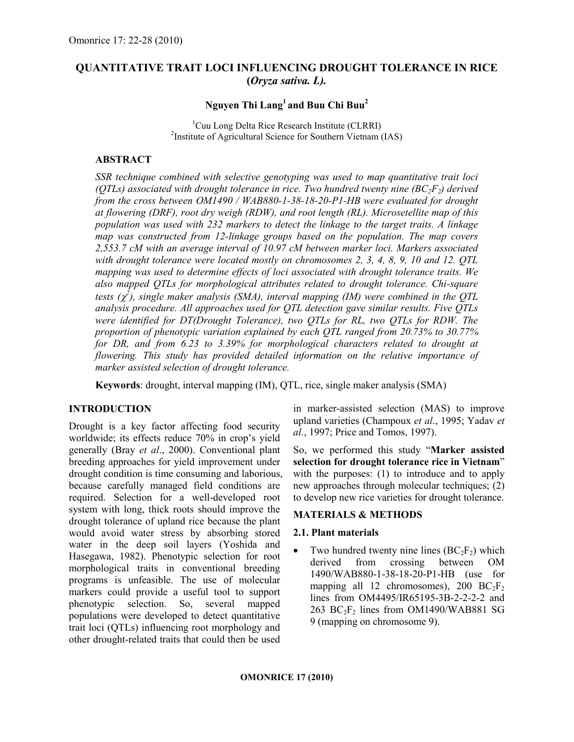# QUANTITATIVE TRAIT LOCI INFLUENCING DROUGHT TOLERANCE IN RICE (Oryza sativa. L).

# Nguyen Thi  $\rm{Lang}^1$  and Buu Chi Buu $^2$

<sup>1</sup>Cuu Long Delta Rice Research Institute (CLRRI) <sup>2</sup>Institute of Agricultural Science for Southern Vietnam (IAS)

## ABSTRACT

SSR technique combined with selective genotyping was used to map quantitative trait loci (OTLs) associated with drought tolerance in rice. Two hundred twenty nine  $(BC_2F_2)$  derived from the cross between OM1490 / WAB880-1-38-18-20-P1-HB were evaluated for drought at flowering (DRF), root dry weigh (RDW), and root length (RL). Microsetellite map of this population was used with 232 markers to detect the linkage to the target traits. A linkage map was constructed from 12-linkage groups based on the population. The map covers 2,553.7 cM with an average interval of 10.97 cM between marker loci. Markers associated with drought tolerance were located mostly on chromosomes 2, 3, 4, 8, 9, 10 and 12. OTL mapping was used to determine effects of loci associated with drought tolerance traits. We also mapped QTLs for morphological attributes related to drought tolerance. Chi-square tests  $(\chi^2)$ , single maker analysis (SMA), interval mapping (IM) were combined in the QTL analysis procedure. All approaches used for QTL detection gave similar results. Five QTLs were identified for DT(Drought Tolerance), two QTLs for RL, two QTLs for RDW. The proportion of phenotypic variation explained by each QTL ranged from 20.73% to 30.77% for DR, and from 6.23 to 3.39% for morphological characters related to drought at flowering. This study has provided detailed information on the relative importance of marker assisted selection of drought tolerance.

Keywords: drought, interval mapping (IM), QTL, rice, single maker analysis (SMA)

# INTRODUCTION

Drought is a key factor affecting food security worldwide; its effects reduce 70% in crop's yield generally (Bray et al., 2000). Conventional plant breeding approaches for yield improvement under drought condition is time consuming and laborious, because carefully managed field conditions are required. Selection for a well-developed root system with long, thick roots should improve the drought tolerance of upland rice because the plant would avoid water stress by absorbing stored water in the deep soil layers (Yoshida and Hasegawa, 1982). Phenotypic selection for root morphological traits in conventional breeding programs is unfeasible. The use of molecular markers could provide a useful tool to support phenotypic selection. So, several mapped populations were developed to detect quantitative trait loci (QTLs) influencing root morphology and other drought-related traits that could then be used

in marker-assisted selection (MAS) to improve upland varieties (Champoux et al., 1995; Yadav et al., 1997; Price and Tomos, 1997).

So, we performed this study "Marker assisted selection for drought tolerance rice in Vietnam" with the purposes: (1) to introduce and to apply new approaches through molecular techniques; (2) to develop new rice varieties for drought tolerance.

## MATERIALS & METHODS

#### 2.1. Plant materials

• Two hundred twenty nine lines  $(BC<sub>2</sub>F<sub>2</sub>)$  which derived from crossing between OM 1490/WAB880-1-38-18-20-P1-HB (use for mapping all 12 chromosomes), 200  $BC_2F_2$ lines from OM4495/IR65195-3B-2-2-2-2 and 263  $BC_2F_2$  lines from OM1490/WAB881 SG 9 (mapping on chromosome 9).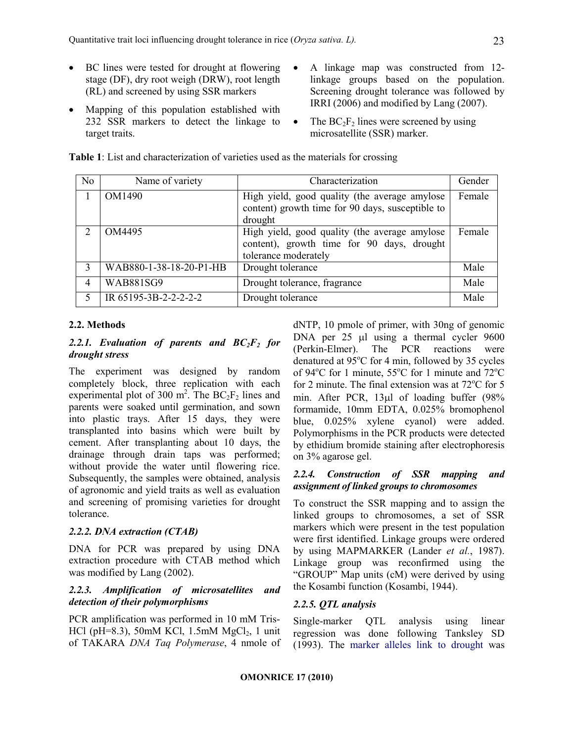- BC lines were tested for drought at flowering stage (DF), dry root weigh (DRW), root length (RL) and screened by using SSR markers
- Mapping of this population established with 232 SSR markers to detect the linkage to target traits.
- A linkage map was constructed from 12 linkage groups based on the population. Screening drought tolerance was followed by IRRI (2006) and modified by Lang (2007).
- The  $BC_2F_2$  lines were screened by using microsatellite (SSR) marker.

| N <sub>0</sub> | Name of variety         | Characterization                                                                                                    | Gender |
|----------------|-------------------------|---------------------------------------------------------------------------------------------------------------------|--------|
|                | OM1490                  | High yield, good quality (the average amylose<br>content) growth time for 90 days, susceptible to<br>drought        | Female |
| 2              | OM4495                  | High yield, good quality (the average amylose<br>content), growth time for 90 days, drought<br>tolerance moderately | Female |
| 3              | WAB880-1-38-18-20-P1-HB | Drought tolerance                                                                                                   | Male   |
| 4              | <b>WAB881SG9</b>        | Drought tolerance, fragrance                                                                                        | Male   |
| 5              | IR 65195-3B-2-2-2-2-2   | Drought tolerance                                                                                                   | Male   |

Table 1: List and characterization of varieties used as the materials for crossing

## 2.2. Methods

## 2.2.1. Evaluation of parents and  $BC_2F_2$  for drought stress

The experiment was designed by random completely block, three replication with each experimental plot of 300 m<sup>2</sup>. The  $BC_2F_2$  lines and parents were soaked until germination, and sown into plastic trays. After 15 days, they were transplanted into basins which were built by cement. After transplanting about 10 days, the drainage through drain taps was performed; without provide the water until flowering rice. Subsequently, the samples were obtained, analysis of agronomic and yield traits as well as evaluation and screening of promising varieties for drought tolerance.

## 2.2.2. DNA extraction (CTAB)

DNA for PCR was prepared by using DNA extraction procedure with CTAB method which was modified by Lang (2002).

### 2.2.3. Amplification of microsatellites and detection of their polymorphisms

PCR amplification was performed in 10 mM Tris-HCl (pH=8.3), 50mM KCl, 1.5mM  $MgCl<sub>2</sub>$ , 1 unit of TAKARA DNA Taq Polymerase, 4 nmole of dNTP, 10 pmole of primer, with 30ng of genomic DNA per 25 µl using a thermal cycler 9600 (Perkin-Elmer). The PCR reactions were denatured at  $95^{\circ}$ C for 4 min, followed by 35 cycles of 94 $\mathrm{^{\circ}C}$  for 1 minute, 55 $\mathrm{^{\circ}C}$  for 1 minute and 72 $\mathrm{^{\circ}C}$ for 2 minute. The final extension was at  $72^{\circ}$ C for 5 min. After PCR, 13µl of loading buffer (98% formamide, 10mm EDTA, 0.025% bromophenol blue, 0.025% xylene cyanol) were added. Polymorphisms in the PCR products were detected by ethidium bromide staining after electrophoresis on 3% agarose gel.

### 2.2.4. Construction of SSR mapping and assignment of linked groups to chromosomes

To construct the SSR mapping and to assign the linked groups to chromosomes, a set of SSR markers which were present in the test population were first identified. Linkage groups were ordered by using MAPMARKER (Lander et al., 1987). Linkage group was reconfirmed using the "GROUP" Map units (cM) were derived by using the Kosambi function (Kosambi, 1944).

## 2.2.5. QTL analysis

Single-marker QTL analysis using linear regression was done following Tanksley SD (1993). The marker alleles link to drought was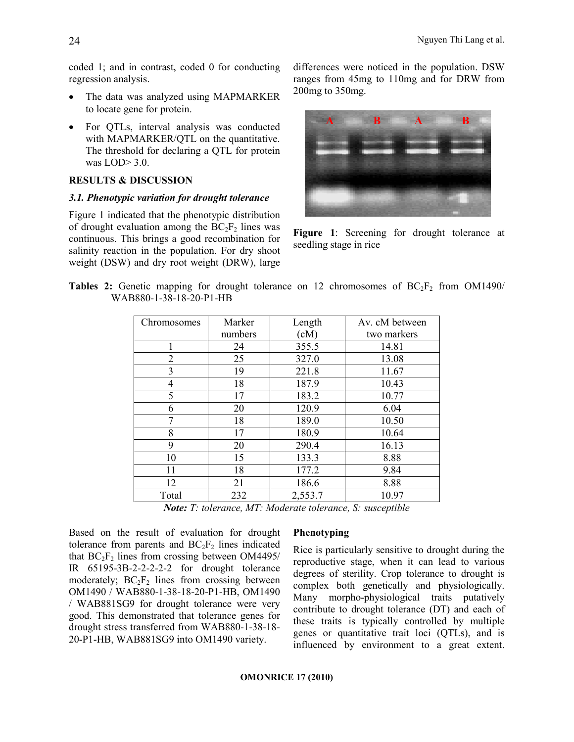coded 1; and in contrast, coded 0 for conducting regression analysis.

- The data was analyzed using MAPMARKER to locate gene for protein.
- For QTLs, interval analysis was conducted with MAPMARKER/QTL on the quantitative. The threshold for declaring a QTL for protein was LOD> 3.0.

#### RESULTS & DISCUSSION

### 3.1. Phenotypic variation for drought tolerance

Figure 1 indicated that the phenotypic distribution of drought evaluation among the  $BC_2F_2$  lines was continuous. This brings a good recombination for salinity reaction in the population. For dry shoot weight (DSW) and dry root weight (DRW), large

differences were noticed in the population. DSW ranges from 45mg to 110mg and for DRW from 200mg to 350mg.



Figure 1: Screening for drought tolerance at seedling stage in rice

|  |                         |  |  | <b>Tables 2:</b> Genetic mapping for drought tolerance on 12 chromosomes of $BC_2F_2$ from OM1490/ |  |  |
|--|-------------------------|--|--|----------------------------------------------------------------------------------------------------|--|--|
|  | WAB880-1-38-18-20-P1-HB |  |  |                                                                                                    |  |  |

| Chromosomes | Marker  | Length  | Av. cM between |  |  |  |
|-------------|---------|---------|----------------|--|--|--|
|             | numbers | (cM)    | two markers    |  |  |  |
| 1           | 24      | 355.5   | 14.81          |  |  |  |
| 2           | 25      | 327.0   | 13.08          |  |  |  |
| 3           | 19      | 221.8   | 11.67          |  |  |  |
| 4           | 18      | 187.9   | 10.43          |  |  |  |
| 5           | 17      | 183.2   | 10.77          |  |  |  |
| 6           | 20      | 120.9   | 6.04           |  |  |  |
| 7           | 18      | 189.0   | 10.50          |  |  |  |
| 8           | 17      | 180.9   | 10.64          |  |  |  |
| 9           | 20      | 290.4   | 16.13          |  |  |  |
| 10          | 15      | 133.3   | 8.88           |  |  |  |
| 11          | 18      | 177.2   | 9.84           |  |  |  |
| 12          | 21      | 186.6   | 8.88           |  |  |  |
| Total       | 232     | 2,553.7 | 10.97          |  |  |  |

Note: T: tolerance, MT: Moderate tolerance, S: susceptible

Based on the result of evaluation for drought tolerance from parents and  $BC_2F_2$  lines indicated that  $BC_2F_2$  lines from crossing between OM4495/ IR 65195-3B-2-2-2-2-2 for drought tolerance moderately;  $BC_2F_2$  lines from crossing between OM1490 / WAB880-1-38-18-20-P1-HB, OM1490 / WAB881SG9 for drought tolerance were very good. This demonstrated that tolerance genes for drought stress transferred from WAB880-1-38-18- 20-P1-HB, WAB881SG9 into OM1490 variety.

#### Phenotyping

Rice is particularly sensitive to drought during the reproductive stage, when it can lead to various degrees of sterility. Crop tolerance to drought is complex both genetically and physiologically. Many morpho-physiological traits putatively contribute to drought tolerance (DT) and each of these traits is typically controlled by multiple genes or quantitative trait loci (QTLs), and is influenced by environment to a great extent.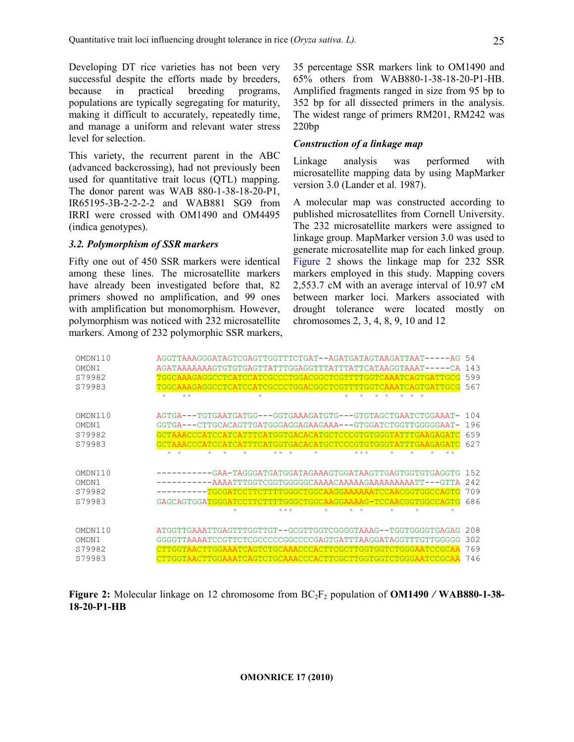Developing DT rice varieties has not been very successful despite the efforts made by breeders, because in practical breeding programs, populations are typically segregating for maturity, making it difficult to accurately, repeatedly time, and manage a uniform and relevant water stress level for selection.

This variety, the recurrent parent in the ABC (advanced backcrossing), had not previously been used for quantitative trait locus (QTL) mapping. The donor parent was WAB 880-1-38-18-20-P1, IR65195-3B-2-2-2-2 and WAB881 SG9 from IRRI were crossed with OM1490 and OM4495 (indica genotypes).

## 3.2. Polymorphism of SSR markers

Fifty one out of 450 SSR markers were identical among these lines. The microsatellite markers have already been investigated before that, 82 primers showed no amplification, and 99 ones with amplification but monomorphism. However, polymorphism was noticed with 232 microsatellite markers. Among of 232 polymorphic SSR markers, 35 percentage SSR markers link to OM1490 and 65% others from WAB880-1-38-18-20-P1-HB. Amplified fragments ranged in size from 95 bp to 352 bp for all dissected primers in the analysis. The widest range of primers RM201, RM242 was 220bp

## Construction of a linkage map

Linkage analysis was performed with microsatellite mapping data by using MapMarker version 3.0 (Lander et al. 1987).

A molecular map was constructed according to published microsatellites from Cornell University. The 232 microsatellite markers were assigned to linkage group. MapMarker version 3.0 was used to generate microsatellite map for each linked group. Figure 2 shows the linkage map for 232 SSR markers employed in this study. Mapping covers 2,553.7 cM with an average interval of 10.97 cM between marker loci. Markers associated with drought tolerance were located mostly on chromosomes 2, 3, 4, 8, 9, 10 and 12

| OMDN110<br>OMDN <sub>1</sub><br>S79982<br>S79983 | AGGTTAAAGGGATAGTCGAGTTGGTTTCTGAT--AGATGATAGTAAGATTAAT----<br>54<br>143<br>599<br><u>TGGCAAAGAGGCCTCATCCATCGCCCTGGACGGCTCGTTTTGGTCAAATCAGTGATTGCG</u><br>567<br><u>\GGCCTCATCCATCGCCCTGGACGGCTCGTTTTGGTCAAATCAGTGATTGCG</u><br>$+ +$<br>$\star$<br>$\star$ |
|--------------------------------------------------|-----------------------------------------------------------------------------------------------------------------------------------------------------------------------------------------------------------------------------------------------------------|
| OMDN110                                          | 104<br>AGTGAATGTGAATGATGA---GGTGAAAGATGTG---GTGTAGCTGAATCTGGAAT-                                                                                                                                                                                          |
| OMDN1                                            | 196<br>GGTGA---CTTGCACAGTTGATGGGAGGAGAAGAAA---GTGGATCTGGTTGGGGGAAT                                                                                                                                                                                        |
| S79982                                           | 659<br>GCTAAACCCATCCATCATTTCATGGTGACACATGCTCCCGTGTGGGTATTTGAAGAGATC                                                                                                                                                                                       |
| S79983                                           | 627<br><b>GAGATC</b><br>TTCATGGTGACACATGCTCCCGTGTGGGTAT                                                                                                                                                                                                   |
|                                                  | $\star$<br>$\div$<br>$+ +$<br>$+$<br>$\star$<br>$***$<br>$\star$<br>$\star$<br>$+ +$<br>$\star$                                                                                                                                                           |
| OMDN110                                          | -GAA-TAGGGATGATGGATAGAAAGTGGATAAGTTGAGTGGTGTGAGGTG<br>1.52                                                                                                                                                                                                |
| OMDN1                                            | 242<br>-AAAATTTGGTCGGTGGGGGCAAAACAAAAAGAAAAAAAATT---GTTA                                                                                                                                                                                                  |
| S79982                                           | 709<br>-TGCGATCCTTCTTTTGGGCTGGCAAGGAAAAATCCAACGGTGGCCAGTG                                                                                                                                                                                                 |
| S79983                                           | 686<br>GAGCAGTGGATGGGATCCTTCTTTTGGGCTGGCAAGGAAAAG-TCCAACGGTGGCCAGTG                                                                                                                                                                                       |
|                                                  | $***$<br>$\star$<br>$\star$<br>$\star$<br>$\star$<br>$\div$<br>$\div$                                                                                                                                                                                     |
| OMDN110                                          | 208<br>ATGGTTGAAATTGAGTTTGGTTGT--GCGTTGGTCGGGGTAAAG--TGGTGGGGTGAGAG                                                                                                                                                                                       |
| OMDN <sub>1</sub>                                | 302<br>GGGGTTAAAATCCGTTCTCGCCCCCCGGCCCCCAGTGATTTAAGGATAGGTTTGTTGGGGG                                                                                                                                                                                      |
| S79982                                           | 769                                                                                                                                                                                                                                                       |
| S79983                                           | 746<br>CTTGGTAACTTGGAAATCAGTCTGCAAACCCACTTCGCTTGGTGGTCTGGGAATCCGCAA                                                                                                                                                                                       |

Figure 2: Molecular linkage on 12 chromosome from  $BC<sub>2</sub>F<sub>2</sub>$  population of **OM1490** / WAB880-1-38-18-20-P1-HB

#### OMONRICE 17 (2010)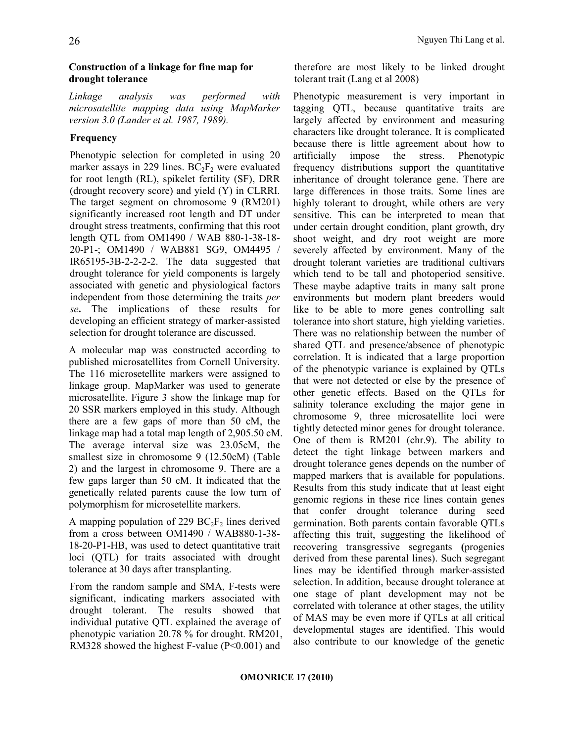## Construction of a linkage for fine map for drought tolerance

Linkage analysis was performed with microsatellite mapping data using MapMarker version 3.0 (Lander et al. 1987, 1989).

# Frequency

Phenotypic selection for completed in using 20 marker assays in 229 lines.  $BC_2F_2$  were evaluated for root length (RL), spikelet fertility (SF), DRR (drought recovery score) and yield (Y) in CLRRI. The target segment on chromosome 9 (RM201) significantly increased root length and DT under drought stress treatments, confirming that this root length QTL from OM1490 / WAB 880-1-38-18- 20-P1-; OM1490 / WAB881 SG9, OM4495 / IR65195-3B-2-2-2-2. The data suggested that drought tolerance for yield components is largely associated with genetic and physiological factors independent from those determining the traits per se. The implications of these results for developing an efficient strategy of marker-assisted selection for drought tolerance are discussed.

A molecular map was constructed according to published microsatellites from Cornell University. The 116 microsetellite markers were assigned to linkage group. MapMarker was used to generate microsatellite. Figure 3 show the linkage map for 20 SSR markers employed in this study. Although there are a few gaps of more than 50 cM, the linkage map had a total map length of 2,905.50 cM. The average interval size was 23.05cM, the smallest size in chromosome 9 (12.50cM) (Table 2) and the largest in chromosome 9. There are a few gaps larger than 50 cM. It indicated that the genetically related parents cause the low turn of polymorphism for microsetellite markers.

A mapping population of 229  $BC_2F_2$  lines derived from a cross between OM1490 / WAB880-1-38- 18-20-P1-HB, was used to detect quantitative trait loci (QTL) for traits associated with drought tolerance at 30 days after transplanting.

From the random sample and SMA, F-tests were significant, indicating markers associated with drought tolerant. The results showed that individual putative QTL explained the average of phenotypic variation 20.78 % for drought. RM201, RM328 showed the highest F-value (P<0.001) and

therefore are most likely to be linked drought tolerant trait (Lang et al 2008)

Phenotypic measurement is very important in tagging QTL, because quantitative traits are largely affected by environment and measuring characters like drought tolerance. It is complicated because there is little agreement about how to artificially impose the stress. Phenotypic frequency distributions support the quantitative inheritance of drought tolerance gene. There are large differences in those traits. Some lines are highly tolerant to drought, while others are very sensitive. This can be interpreted to mean that under certain drought condition, plant growth, dry shoot weight, and dry root weight are more severely affected by environment. Many of the drought tolerant varieties are traditional cultivars which tend to be tall and photoperiod sensitive. These maybe adaptive traits in many salt prone environments but modern plant breeders would like to be able to more genes controlling salt tolerance into short stature, high yielding varieties. There was no relationship between the number of shared QTL and presence/absence of phenotypic correlation. It is indicated that a large proportion of the phenotypic variance is explained by QTLs that were not detected or else by the presence of other genetic effects. Based on the QTLs for salinity tolerance excluding the major gene in chromosome 9, three microsatellite loci were tightly detected minor genes for drought tolerance. One of them is RM201 (chr.9). The ability to detect the tight linkage between markers and drought tolerance genes depends on the number of mapped markers that is available for populations. Results from this study indicate that at least eight genomic regions in these rice lines contain genes that confer drought tolerance during seed germination. Both parents contain favorable QTLs affecting this trait, suggesting the likelihood of recovering transgressive segregants (progenies derived from these parental lines). Such segregant lines may be identified through marker-assisted selection. In addition, because drought tolerance at one stage of plant development may not be correlated with tolerance at other stages, the utility of MAS may be even more if QTLs at all critical developmental stages are identified. This would also contribute to our knowledge of the genetic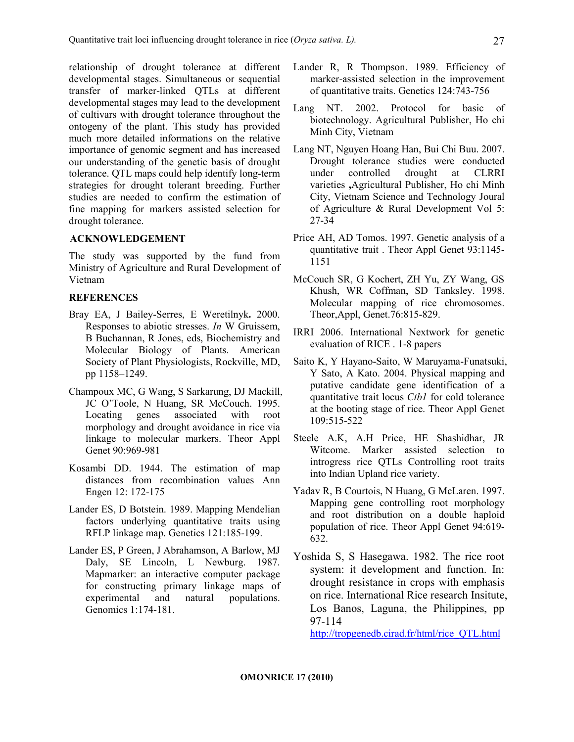relationship of drought tolerance at different developmental stages. Simultaneous or sequential transfer of marker-linked QTLs at different developmental stages may lead to the development of cultivars with drought tolerance throughout the ontogeny of the plant. This study has provided much more detailed informations on the relative importance of genomic segment and has increased our understanding of the genetic basis of drought tolerance. QTL maps could help identify long-term strategies for drought tolerant breeding. Further studies are needed to confirm the estimation of fine mapping for markers assisted selection for drought tolerance.

## ACKNOWLEDGEMENT

The study was supported by the fund from Ministry of Agriculture and Rural Development of Vietnam

#### **REFERENCES**

- Bray EA, J Bailey-Serres, E Weretilnyk. 2000. Responses to abiotic stresses. In W Gruissem, B Buchannan, R Jones, eds, Biochemistry and Molecular Biology of Plants. American Society of Plant Physiologists, Rockville, MD, pp 1158–1249.
- Champoux MC, G Wang, S Sarkarung, DJ Mackill, JC O'Toole, N Huang, SR McCouch. 1995. Locating genes associated with root morphology and drought avoidance in rice via linkage to molecular markers. Theor Appl Genet 90:969-981
- Kosambi DD. 1944. The estimation of map distances from recombination values Ann Engen 12: 172-175
- Lander ES, D Botstein. 1989. Mapping Mendelian factors underlying quantitative traits using RFLP linkage map. Genetics 121:185-199.
- Lander ES, P Green, J Abrahamson, A Barlow, MJ Daly, SE Lincoln, L Newburg. 1987. Mapmarker: an interactive computer package for constructing primary linkage maps of experimental and natural populations. Genomics 1:174-181.
- Lander R, R Thompson. 1989. Efficiency of marker-assisted selection in the improvement of quantitative traits. Genetics 124:743-756
- Lang NT. 2002. Protocol for basic of biotechnology. Agricultural Publisher, Ho chi Minh City, Vietnam
- Lang NT, Nguyen Hoang Han, Bui Chi Buu. 2007. Drought tolerance studies were conducted under controlled drought at CLRRI varieties ,Agricultural Publisher, Ho chi Minh City, Vietnam Science and Technology Joural of Agriculture & Rural Development Vol 5: 27-34
- Price AH, AD Tomos. 1997. Genetic analysis of a quantitative trait . Theor Appl Genet 93:1145- 1151
- McCouch SR, G Kochert, ZH Yu, ZY Wang, GS Khush, WR Coffman, SD Tanksley. 1998. Molecular mapping of rice chromosomes. Theor,Appl, Genet.76:815-829.
- IRRI 2006. International Nextwork for genetic evaluation of RICE . 1-8 papers
- Saito K, Y Hayano-Saito, W Maruyama-Funatsuki, Y Sato, A Kato. 2004. Physical mapping and putative candidate gene identification of a quantitative trait locus Ctb1 for cold tolerance at the booting stage of rice. Theor Appl Genet 109:515-522
- Steele A.K, A.H Price, HE Shashidhar, JR Witcome. Marker assisted selection to introgress rice QTLs Controlling root traits into Indian Upland rice variety.
- Yadav R, B Courtois, N Huang, G McLaren. 1997. Mapping gene controlling root morphology and root distribution on a double haploid population of rice. Theor Appl Genet 94:619- 632.
- Yoshida S, S Hasegawa. 1982. The rice root system: it development and function. In: drought resistance in crops with emphasis on rice. International Rice research Insitute, Los Banos, Laguna, the Philippines, pp 97-114

http://tropgenedb.cirad.fr/html/rice\_QTL.html

27